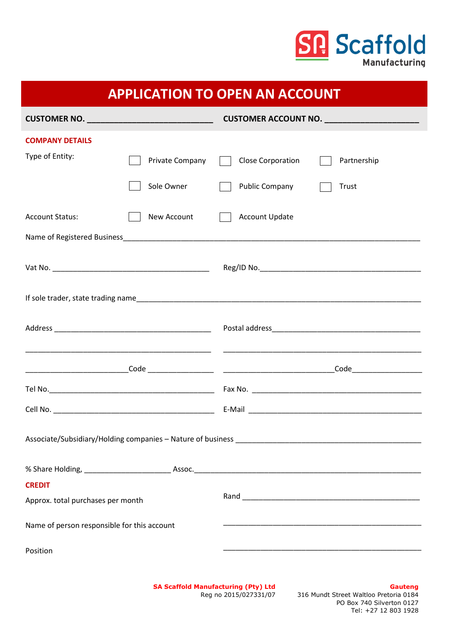

| <b>APPLICATION TO OPEN AN ACCOUNT</b>       |            |                 |  |                       |             |
|---------------------------------------------|------------|-----------------|--|-----------------------|-------------|
|                                             |            |                 |  |                       |             |
| <b>COMPANY DETAILS</b>                      |            |                 |  |                       |             |
| Type of Entity:                             |            | Private Company |  | Close Corporation     | Partnership |
|                                             | Sole Owner |                 |  | <b>Public Company</b> | Trust       |
| <b>Account Status:</b>                      |            | New Account     |  | <b>Account Update</b> |             |
|                                             |            |                 |  |                       |             |
|                                             |            |                 |  |                       |             |
|                                             |            |                 |  |                       |             |
|                                             |            |                 |  |                       |             |
|                                             |            |                 |  |                       |             |
|                                             |            |                 |  |                       |             |
|                                             |            |                 |  |                       |             |
|                                             |            |                 |  |                       |             |
|                                             |            |                 |  |                       |             |
| <b>CREDIT</b>                               |            |                 |  |                       |             |
| Approx. total purchases per month           |            |                 |  |                       |             |
| Name of person responsible for this account |            |                 |  |                       |             |
| Position                                    |            |                 |  |                       |             |

**SA Scaffold Manufacturing (Pty) Ltd** Reg no 2015/027331/07

## **Gauteng**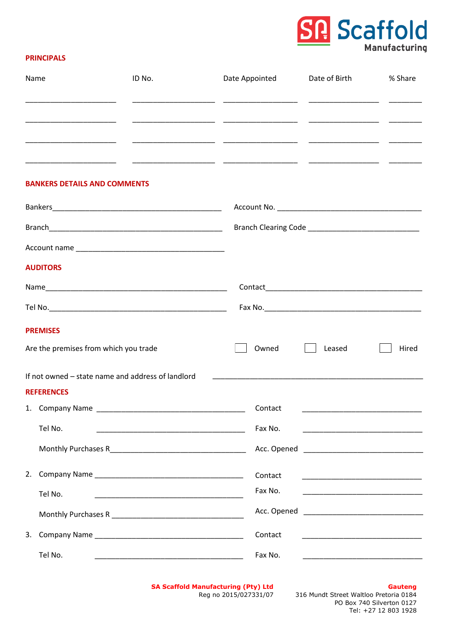

## **PRINCIPALS**

| Name              | ID No.                                            | Date Appointed | Date of Birth                                                                                                          | % Share |
|-------------------|---------------------------------------------------|----------------|------------------------------------------------------------------------------------------------------------------------|---------|
|                   |                                                   |                |                                                                                                                        |         |
|                   |                                                   |                |                                                                                                                        |         |
|                   |                                                   |                |                                                                                                                        |         |
|                   | <b>BANKERS DETAILS AND COMMENTS</b>               |                |                                                                                                                        |         |
|                   |                                                   |                |                                                                                                                        |         |
|                   |                                                   |                |                                                                                                                        |         |
|                   |                                                   |                |                                                                                                                        |         |
| <b>AUDITORS</b>   |                                                   |                |                                                                                                                        |         |
|                   |                                                   |                |                                                                                                                        |         |
|                   |                                                   |                |                                                                                                                        |         |
| <b>PREMISES</b>   |                                                   |                |                                                                                                                        |         |
|                   | Are the premises from which you trade             | Owned          | Leased                                                                                                                 | Hired   |
|                   | If not owned – state name and address of landlord |                |                                                                                                                        |         |
| <b>REFERENCES</b> |                                                   |                |                                                                                                                        |         |
|                   |                                                   |                |                                                                                                                        |         |
| Tel No.           |                                                   | Fax No.        | <u> 1980 - John Stein, mars and de Brazilia (b. 1980)</u>                                                              |         |
|                   |                                                   |                |                                                                                                                        |         |
| 2.                |                                                   | Contact        |                                                                                                                        |         |
| Tel No.           |                                                   | Fax No.        | <u> 1980 - Johann Barn, mars ann an t-Amhair ann an t-Amhair an t-Amhair an t-Amhair an t-Amhair ann an t-Amhair a</u> |         |
|                   |                                                   |                |                                                                                                                        |         |
|                   |                                                   | Contact        |                                                                                                                        |         |
| Tel No.           |                                                   | Fax No.        |                                                                                                                        |         |

**SA Scaffold Manufacturing (Pty) Ltd** Reg no 2015/027331/07

### **Gauteng**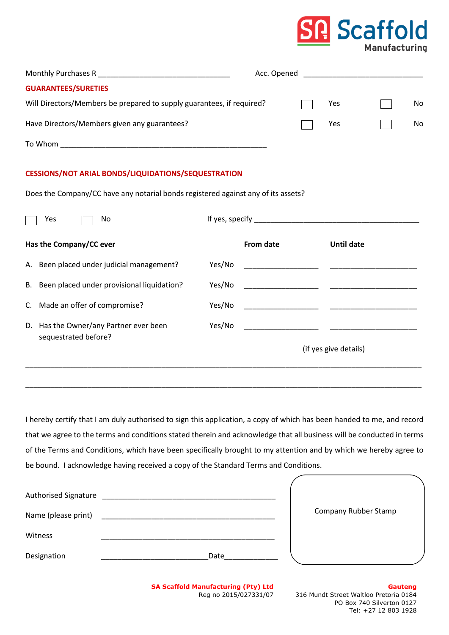## **Scaffold Manufacturing**

| Monthly Purchases R                                                   | Acc. Opened |     |    |
|-----------------------------------------------------------------------|-------------|-----|----|
| <b>GUARANTEES/SURETIES</b>                                            |             |     |    |
| Will Directors/Members be prepared to supply guarantees, if required? |             | Yes | No |
| Have Directors/Members given any guarantees?                          |             | Yes | No |
| To Whom                                                               |             |     |    |

## **CESSIONS/NOT ARIAL BONDS/LIQUIDATIONS/SEQUESTRATION**

Does the Company/CC have any notarial bonds registered against any of its assets?

| Yes<br>No                                                      |        | If yes, specify <b>the contract of the contract of the contract of the contract of the contract of the contract of the contract of the contract of the contract of the contract of the contract of the contract of the contract </b> |                       |
|----------------------------------------------------------------|--------|--------------------------------------------------------------------------------------------------------------------------------------------------------------------------------------------------------------------------------------|-----------------------|
| Has the Company/CC ever                                        |        | From date                                                                                                                                                                                                                            | Until date            |
| A. Been placed under judicial management?                      | Yes/No | the control of the control of the control of the control of the control of the control of the control of the control of the control of the control of the control of the control of the control of the control of the control        |                       |
| B. Been placed under provisional liquidation?                  | Yes/No |                                                                                                                                                                                                                                      |                       |
| C. Made an offer of compromise?                                | Yes/No |                                                                                                                                                                                                                                      |                       |
| D. Has the Owner/any Partner ever been<br>sequestrated before? | Yes/No |                                                                                                                                                                                                                                      |                       |
|                                                                |        |                                                                                                                                                                                                                                      | (if yes give details) |

I hereby certify that I am duly authorised to sign this application, a copy of which has been handed to me, and record that we agree to the terms and conditions stated therein and acknowledge that all business will be conducted in terms of the Terms and Conditions, which have been specifically brought to my attention and by which we hereby agree to be bound. I acknowledge having received a copy of the Standard Terms and Conditions.

\_\_\_\_\_\_\_\_\_\_\_\_\_\_\_\_\_\_\_\_\_\_\_\_\_\_\_\_\_\_\_\_\_\_\_\_\_\_\_\_\_\_\_\_\_\_\_\_\_\_\_\_\_\_\_\_\_\_\_\_\_\_\_\_\_\_\_\_\_\_\_\_\_\_\_\_\_\_\_\_\_\_\_\_\_\_\_\_\_\_\_\_\_\_\_\_

| Authorised Signature |      |                      |  |
|----------------------|------|----------------------|--|
| Name (please print)  |      | Company Rubber Stamp |  |
| Witness              |      |                      |  |
| Designation          | Date |                      |  |

**SA Scaffold Manufacturing (Pty) Ltd** Reg no 2015/027331/07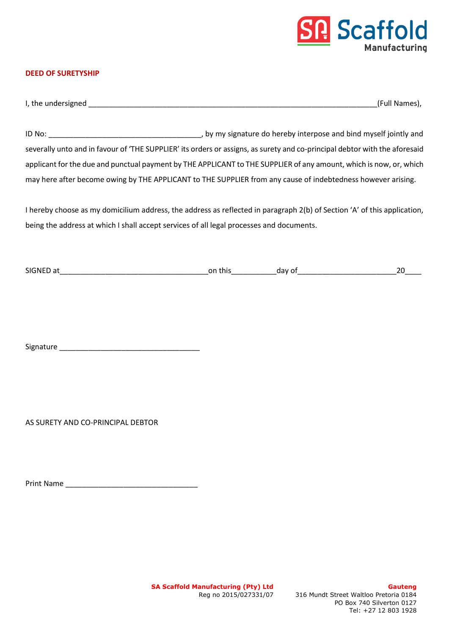

## **DEED OF SURETYSHIP**

| I. the        | ames   |
|---------------|--------|
| : undersigned | Nar    |
| . .           | ' FIII |

ID No: \_\_\_\_\_\_\_\_\_\_\_\_\_\_\_\_\_\_\_\_\_\_\_\_\_\_\_\_\_\_\_\_\_\_\_\_\_, by my signature do hereby interpose and bind myself jointly and severally unto and in favour of 'THE SUPPLIER' its orders or assigns, as surety and co-principal debtor with the aforesaid applicant for the due and punctual payment by THE APPLICANT to THE SUPPLIER of any amount, which is now, or, which may here after become owing by THE APPLICANT to THE SUPPLIER from any cause of indebtedness however arising.

I hereby choose as my domicilium address, the address as reflected in paragraph 2(b) of Section 'A' of this application, being the address at which I shall accept services of all legal processes and documents.

| <b>SIGNED</b><br>' a L | on<br>this | C.<br>dav |  |
|------------------------|------------|-----------|--|
|                        |            |           |  |

Signature \_\_\_\_\_\_\_\_\_\_\_\_\_\_\_\_\_\_\_\_\_\_\_\_\_\_\_\_\_\_\_\_\_\_

AS SURETY AND CO-PRINCIPAL DEBTOR

| <b>Print Name</b> |  |  |
|-------------------|--|--|
|                   |  |  |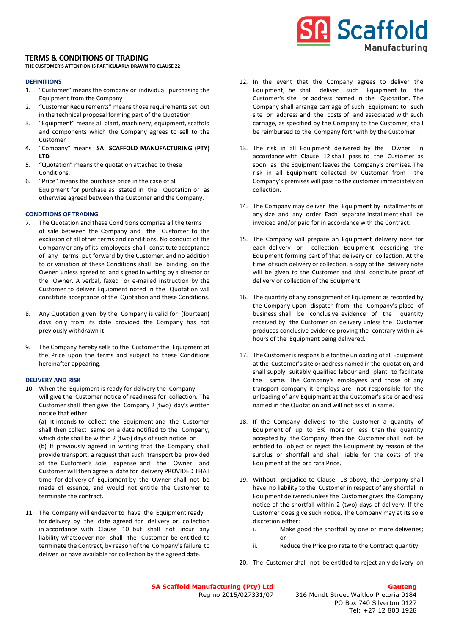### **TERMS & CONDITIONS OF TRADING**

**THE CUSTOMER'S ATTENTION IS PARTICULARLY DRAWN TO CLAUSE 22**

### **DEFINITIONS**

- 1. "Customer" means the company or individual purchasing the Equipment from the Company
- 2. "Customer Requirements" means those requirements set out in the technical proposal forming part of the Quotation
- 3. "Equipment" means all plant, machinery, equipment, scaffold and components which the Company agrees to sell to the Customer
- **4.** "Company" means **SA SCAFFOLD MANUFACTURING (PTY) LTD**
- 5. "Quotation" means the quotation attached to these Conditions.
- 6. "Price" means the purchase price in the case of all Equipment for purchase as stated in the Quotation or as otherwise agreed between the Customer and the Company.

### **CONDITIONS OF TRADING**

- 7. The Quotation and these Conditions comprise all the terms of sale between the Company and the Customer to the exclusion of all other terms and conditions. No conduct of the Company or any of its employees shall constitute acceptance of any terms put forward by the Customer, and no addition to or variation of these Conditions shall be binding on the Owner unless agreed to and signed in writing by a director or the Owner. A verbal, faxed or e-mailed instruction by the Customer to deliver Equipment noted in the Quotation will constitute acceptance of the Quotation and these Conditions.
- 8. Any Quotation given by the Company is valid for (fourteen) days only from its date provided the Company has not previously withdrawn it.
- 9. The Company hereby sells to the Customer the Equipment at the Price upon the terms and subject to these Conditions hereinafter appearing.

### **DELIVERY AND RISK**

10. When the Equipment is ready for delivery the Company will give the Customer notice of readiness for collection. The Customer shall then give the Company 2 (two) day's written notice that either:

(a) It intends to collect the Equipment and the Customer shall then collect same on a date notified to the Company, which date shall be within 2 (two) days of such notice, or (b) If previously agreed in writing that the Company shall

provide transport, a request that such transport be provided at the Customer's sole expense and the Owner and Customer will then agree a date for delivery PROVIDED THAT time for delivery of Equipment by the Owner shall not be made of essence, and would not entitle the Customer to terminate the contract.

11. The Company will endeavor to have the Equipment ready for delivery by the date agreed for delivery or collection in accordance with Clause 10 but shall not incur any liability whatsoever nor shall the Customer be entitled to terminate the Contract, by reason of the Company's failure to deliver or have available for collection by the agreed date.

12. In the event that the Company agrees to deliver the Equipment, he shall deliver such Equipment to the Customer's site or address named in the Quotation. The Company shall arrange carriage of such Equipment to such site or address and the costs of and associated with such carriage, as specified by the Company to the Customer, shall be reimbursed to the Company forthwith by the Customer.

**Scaffold** 

**Manufacturing** 

- 13. The risk in all Equipment delivered by the Owner in accordance with Clause 12 shall pass to the Customer as soon as the Equipment leaves the Company's premises. The risk in all Equipment collected by Customer from the Company's premises will pass to the customer immediately on collection.
- 14. The Company may deliver the Equipment by installments of any size and any order. Each separate installment shall be invoiced and/or paid for in accordance with the Contract.
- 15. The Company will prepare an Equipment delivery note for each delivery or collection Equipment describing the Equipment forming part of that delivery or collection. At the time of such delivery or collection, a copy of the delivery note will be given to the Customer and shall constitute proof of delivery or collection of the Equipment.
- 16. The quantity of any consignment of Equipment as recorded by the Company upon dispatch from the Company's place of business shall be conclusive evidence of the quantity received by the Customer on delivery unless the Customer produces conclusive evidence proving the contrary within 24 hours of the Equipment being delivered.
- 17. The Customer is responsible for the unloading of all Equipment at the Customer's site or address named in the quotation, and shall supply suitably qualified labour and plant to facilitate the same. The Company's employees and those of any transport company it employs are not responsible for the unloading of any Equipment at the Customer's site or address named in the Quotation and will not assist in same.
- 18. If the Company delivers to the Customer a quantity of Equipment of up to 5% more or less than the quantity accepted by the Company, then the Customer shall not be entitled to object or reject the Equipment by reason of the surplus or shortfall and shall liable for the costs of the Equipment at the pro rata Price.
- 19. Without prejudice to Clause 18 above, the Company shall have no liability to the Customer in respect of any shortfall in Equipment delivered unless the Customer gives the Company notice of the shortfall within 2 (two) days of delivery. If the Customer does give such notice, The Company may at its sole discretion either:
	- i. Make good the shortfall by one or more deliveries; or
	- ii. Reduce the Price pro rata to the Contract quantity.
- 20. The Customer shall not be entitled to reject an y delivery on

**SA Scaffold Manufacturing (Pty) Ltd** Reg no 2015/027331/07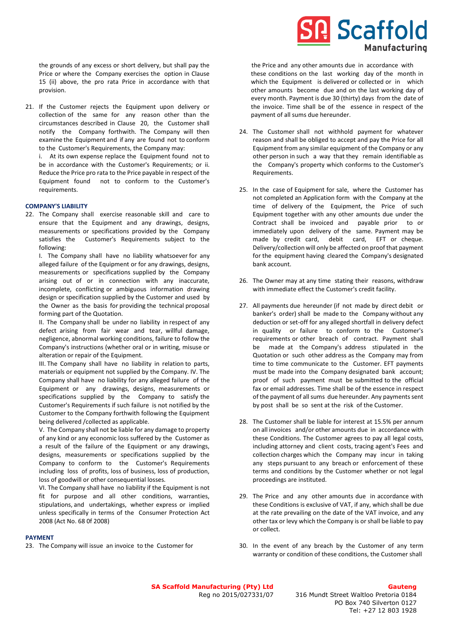the grounds of any excess or short delivery, but shall pay the Price or where the Company exercises the option in Clause 15 (ii) above, the pro rata Price in accordance with that provision.

21. If the Customer rejects the Equipment upon delivery or collection of the same for any reason other than the circumstances described in Clause 20, the Customer shall notify the Company forthwith. The Company will then examine the Equipment and if any are found not to conform to the Customer's Requirements, the Company may:

i. At its own expense replace the Equipment found not to be in accordance with the Customer's Requirements; or ii. Reduce the Price pro rata to the Price payable in respect of the Equipment found not to conform to the Customer's requirements.

### **COMPANY'S LIABILITY**

22. The Company shall exercise reasonable skill and care to ensure that the Equipment and any drawings, designs, measurements or specifications provided by the Company satisfies the Customer's Requirements subject to the following:

I. The Company shall have no liability whatsoever for any alleged failure of the Equipment or for any drawings, designs, measurements or specifications supplied by the Company arising out of or in connection with any inaccurate, incomplete, conflicting or ambiguous information drawing design or specification supplied by the Customer and used by the Owner as the basis for providing the technical proposal forming part of the Quotation.

II. The Company shall be under no liability in respect of any defect arising from fair wear and tear, willful damage, negligence, abnormal working conditions, failure to follow the Company's instructions (whether oral or in writing, misuse or alteration or repair of the Equipment.

III. The Company shall have no liability in relation to parts, materials or equipment not supplied by the Company. IV. The Company shall have no liability for any alleged failure of the Equipment or any drawings, designs, measurements or specifications supplied by the Company to satisfy the Customer's Requirements if such failure is not notified by the Customer to the Company forthwith following the Equipment being delivered /collected as applicable.

V. The Company shall not be liable for any damage to property of any kind or any economic loss suffered by the Customer as a result of the failure of the Equipment or any drawings, designs, measurements or specifications supplied by the Company to conform to the Customer's Requirements including loss of profits, loss of business, loss of production, loss of goodwill or other consequential losses.

VI. The Company shall have no liability if the Equipment is not fit for purpose and all other conditions, warranties, stipulations, and undertakings, whether express or implied unless specifically in terms of the Consumer Protection Act 2008 (Act No. 68 0f 2008)

#### **PAYMENT**

23. The Company will issue an invoice to the Customer for

# **Scaffold Manufacturing**

 the Price and any other amounts due in accordance with these conditions on the last working day of the month in which the Equipment is delivered or collected or in which other amounts become due and on the last working day of every month. Payment is due 30 (thirty) days from the date of the invoice. Time shall be of the essence in respect of the payment of all sums due hereunder.

- 24. The Customer shall not withhold payment for whatever reason and shall be obliged to accept and pay the Price for all Equipment from any similar equipment of the Company or any other person in such a way that they remain identifiable as the Company's property which conforms to the Customer's Requirements.
- 25. In the case of Equipment for sale, where the Customer has not completed an Application form with the Company at the time of delivery of the Equipment, the Price of such Equipment together with any other amounts due under the Contract shall be invoiced and payable prior to or immediately upon delivery of the same. Payment may be made by credit card, debit card. EFT or cheque. Delivery/collection will only be affected on proof that payment for the equipment having cleared the Company's designated bank account.
- 26. The Owner may at any time stating their reasons, withdraw with immediate effect the Customer's credit facility.
- 27. All payments due hereunder (if not made by direct debit or banker's order) shall be made to the Company without any deduction or set-off for any alleged shortfall in delivery defect in quality or failure to conform to the Customer's requirements or other breach of contract. Payment shall be made at the Company's address stipulated in the Quotation or such other address as the Company may from time to time communicate to the Customer. EFT payments must be made into the Company designated bank account; proof of such payment must be submitted to the official fax or email addresses. Time shall be of the essence in respect of the payment of all sums due hereunder. Any payments sent by post shall be so sent at the risk of the Customer.
- 28. The Customer shall be liable for interest at 15.5% per annum on all invoices and/or other amounts due in accordance with these Conditions. The Customer agrees to pay all legal costs, including attorney and client costs, tracing agent's Fees and collection charges which the Company may incur in taking any steps pursuant to any breach or enforcement of these terms and conditions by the Customer whether or not legal proceedings are instituted.
- 29. The Price and any other amounts due in accordance with these Conditions is exclusive of VAT, if any, which shall be due at the rate prevailing on the date of the VAT invoice, and any other tax or levy which the Company is or shall be liable to pay or collect.
- 30. In the event of any breach by the Customer of any term warranty or condition of these conditions, the Customer shall

**SA Scaffold Manufacturing (Pty) Ltd** Reg no 2015/027331/07

### **Gauteng**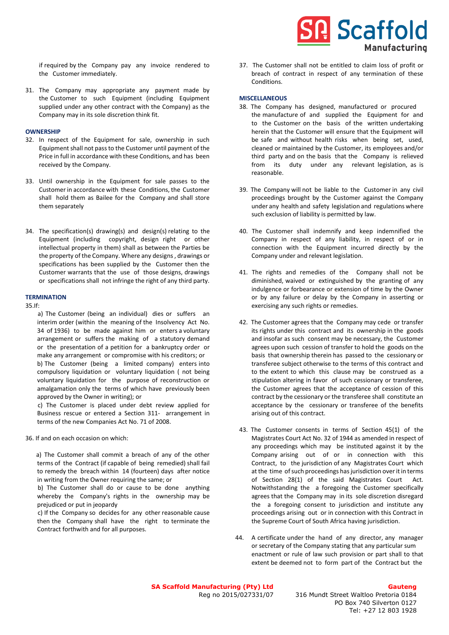# **Scaffold Manufacturing**

if required by the Company pay any invoice rendered to the Customer immediately.

31. The Company may appropriate any payment made by the Customer to such Equipment (including Equipment supplied under any other contract with the Company) as the Company may in its sole discretion think fit.

### **OWNERSHIP**

- 32. In respect of the Equipment for sale, ownership in such Equipment shall not pass to the Customer until payment of the Price in full in accordance with these Conditions, and has been received by the Company.
- 33. Until ownership in the Equipment for sale passes to the Customer in accordance with these Conditions, the Customer shall hold them as Bailee for the Company and shall store them separately
- 34. The specification(s) drawing(s) and design(s) relating to the Equipment (including copyright, design right or other intellectual property in them) shall as between the Parties be the property of the Company. Where any designs , drawings or specifications has been supplied by the Customer then the Customer warrants that the use of those designs, drawings or specifications shall not infringe the right of any third party.

### **TERMINATION**

35.If:

- a) The Customer (being an individual) dies or suffers an interim order (within the meaning of the Insolvency Act No. 34 of 1936) to be made against him or enters a voluntary arrangement or suffers the making of a statutory demand or the presentation of a petition for a bankruptcy order or make any arrangement or compromise with his creditors; or b) The Customer (being a limited company) enters into compulsory liquidation or voluntary liquidation ( not being voluntary liquidation for the purpose of reconstruction or amalgamation only the terms of which have previously been approved by the Owner in writing); or
- c) The Customer is placed under debt review applied for Business rescue or entered a Section 311- arrangement in terms of the new Companies Act No. 71 of 2008.
- 36. If and on each occasion on which:

 a) The Customer shall commit a breach of any of the other terms of the Contract (if capable of being remedied) shall fail to remedy the breach within 14 (fourteen) days after notice in writing from the Owner requiring the same; or

 b) The Customer shall do or cause to be done anything whereby the Company's rights in the ownership may be prejudiced or put in jeopardy

 c) If the Company so decides for any other reasonable cause then the Company shall have the right to terminate the Contract forthwith and for all purposes.

37. The Customer shall not be entitled to claim loss of profit or breach of contract in respect of any termination of these Conditions.

### **MISCELLANEOUS**

- 38. The Company has designed, manufactured or procured the manufacture of and supplied the Equipment for and to the Customer on the basis of the written undertaking herein that the Customer will ensure that the Equipment will be safe and without health risks when being set, used, cleaned or maintained by the Customer, its employees and/or third party and on the basis that the Company is relieved from its duty under any relevant legislation, as is reasonable.
- 39. The Company will not be liable to the Customer in any civil proceedings brought by the Customer against the Company under any health and safety legislation and regulations where such exclusion of liability is permitted by law.
- 40. The Customer shall indemnify and keep indemnified the Company in respect of any liability, in respect of or in connection with the Equipment incurred directly by the Company under and relevant legislation.
- 41. The rights and remedies of the Company shall not be diminished, waived or extinguished by the granting of any indulgence or forbearance or extension of time by the Owner or by any failure or delay by the Company in asserting or exercising any such rights or remedies.
- 42. The Customer agrees that the Company may cede or transfer its rights under this contract and its ownership in the goods and insofar as such consent may be necessary, the Customer agrees upon such cession of transfer to hold the goods on the basis that ownership therein has passed to the cessionary or transferee subject otherwise to the terms of this contract and to the extent to which this clause may be construed as a stipulation altering in favor of such cessionary or transferee, the Customer agrees that the acceptance of cession of this contract by the cessionary or the transferee shall constitute an acceptance by the cessionary or transferee of the benefits arising out of this contract.
- 43. The Customer consents in terms of Section 45(1) of the Magistrates Court Act No. 32 of 1944 as amended in respect of any proceedings which may be instituted against it by the Company arising out of or in connection with this Contract, to the jurisdiction of any Magistrates Court which at the time of such proceedings has jurisdiction over it in terms of Section 28(1) of the said Magistrates Court Act. Notwithstanding the a foregoing the Customer specifically agrees that the Company may in its sole discretion disregard the a foregoing consent to jurisdiction and institute any proceedings arising out or in connection with this Contract in the Supreme Court of South Africa having jurisdiction.
- 44. A certificate under the hand of any director, any manager or secretary of the Company stating that any particular sum enactment or rule of law such provision or part shall to that extent be deemed not to form part of the Contract but the

**SA Scaffold Manufacturing (Pty) Ltd** Reg no 2015/027331/07

### **Gauteng**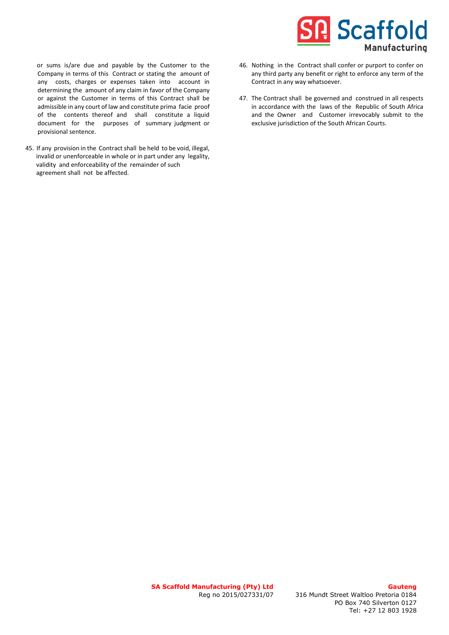## **Scaffold Manufacturing**

 or sums is/are due and payable by the Customer to the Company in terms of this Contract or stating the amount of any costs, charges or expenses taken into account in determining the amount of any claim in favor of the Company or against the Customer in terms of this Contract shall be admissible in any court of law and constitute prima facie proof of the contents thereof and shall constitute a liquid document for the purposes of summary judgment or provisional sentence.

45. If any provision in the Contract shall be held to be void, illegal, invalid or unenforceable in whole or in part under any legality, validity and enforceability of the remainder of such agreement shall not be affected.

- 46. Nothing in the Contract shall confer or purport to confer on any third party any benefit or right to enforce any term of the Contract in any way whatsoever.
- 47. The Contract shall be governed and construed in all respects in accordance with the laws of the Republic of South Africa and the Owner and Customer irrevocably submit to the exclusive jurisdiction of the South African Courts.